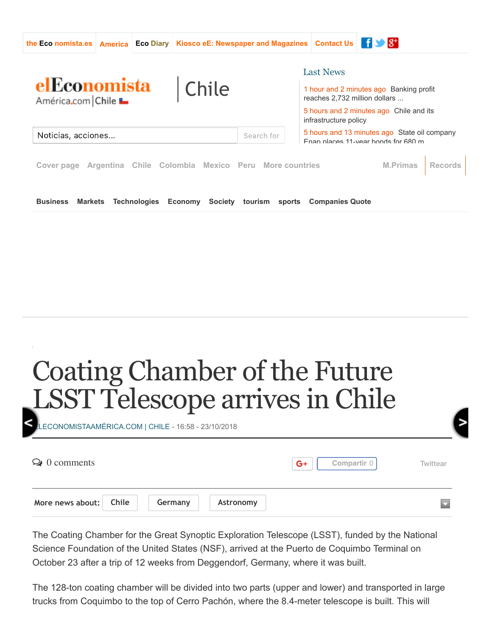

## Coating Chamber of the Future [L](https://www.eleconomistaamerica.cl/actualidad-eAm-chile/noticias/9464587/10/18/Chile-aumentara-los-recursos-para-combatir-incendios-forestales.html)SST Telescope arrives in Chile

ECONOMISTAAMÉRICA.COM | CHILE - 16:58 - 23/10/2018  $\odot$  0 comments **[Compartir](https://www.facebook.com/sharer/sharer.php?kid_directed_site=0&sdk=joey&u=https%3A%2F%2Fwww.eleconomistaamerica.cl%2Factualidad-eAm-chile%2Fnoticias%2F9472322%2F10%2F18%2FCamara-de-Recubrimiento-del-Futuro-Telescopio-LSST-llega-a-Chile.html&display=popup&ref=plugin&src=share_button)** 0 [Twittear](https://twitter.com/intent/tweet?original_referer=https%3A%2F%2Fwww.eleconomistaamerica.cl%2Factualidad-eAm-chile%2Fnoticias%2F9472322%2F10%2F18%2FCamara-de-Recubrimiento-del-Futuro-Telescopio-LSST-llega-a-Chile.html&ref_src=twsrc%5Etfw&text=C%C3%A1mara%20de%20Recubrimiento%20del%20Futuro%20Telescopio%20LSST%20llega%20a%20%3Cb%3EChile%3C%2Fb%3E&tw_p=tweetbutton&url=http%3A%2F%2Fwww.eleconomistaamerica.cl%2Factualidad-eAm-chile%2Fnoticias%2F9472322%2F10%2F18%2FCamara-de-Recubrimiento-del-Futuro-Telescopio-LSST-llega-a-Chile.html&via=economiahoymx)  $G+$ **More news about: [Chile](https://www.eleconomistaamerica.cl/tags/chile) [Germany](https://www.eleconomistaamerica.cl/tags/alemania) [Astronomy](https://www.eleconomistaamerica.cl/tags/astronomia)**

The Coating Chamber for the Great Synoptic Exploration Telescope (LSST), funded by the National Science Foundation of the United States (NSF), arrived at the Puerto de Coquimbo Terminal on October 23 after a trip of 12 weeks from Deggendorf, Germany, where it was built.

The 128-ton coating chamber will be divided into two parts (upper and lower) and transported in large trucks from Coquimbo to the top of Cerro Pachón, where the 8.4meter telescope is built. This will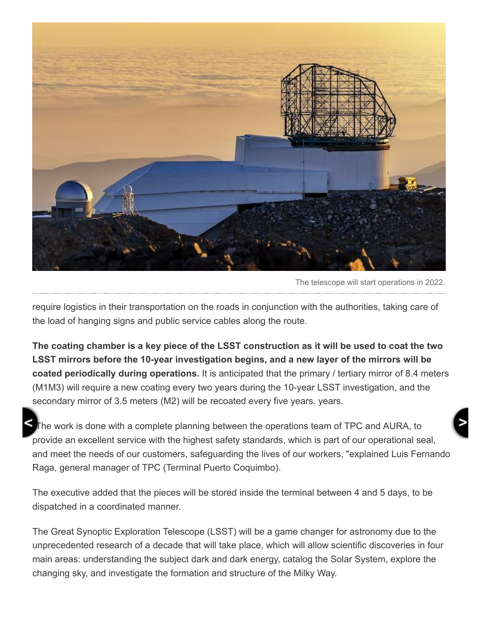

The telescope will start operations in 2022.

require logistics in their transportation on the roads in conjunction with the authorities, taking care of the load of hanging signs and public service cables along the route.

**The coating chamber is a key piece of the LSST construction as it will be used to coat the two** LSST mirrors before the 10-year investigation begins, and a new layer of the mirrors will be **coated periodically during operations.** It is anticipated that the primary / tertiary mirror of 8.4 meters (M1M3) will require a new coating every two years during the 10-year LSST investigation, and the secondary mirror of 3.5 meters (M2) will be recoated every five years. years.

The work is done with a complete planning between the operations team of TPC and AURA, to provide an excellent service with the highest safety standards, which is part of our operational seal, and meet the needs of our customers, safeguarding the lives of our workers, "explained Luis Fernando Raga, general manager of TPC (Terminal Puerto Coquimbo).

The executive added that the pieces will be stored inside the terminal between 4 and 5 days, to be dispatched in a coordinated manner.

The Great Synoptic Exploration Telescope (LSST) will be a game changer for astronomy due to the unprecedented research of a decade that will take place, which will allow scientific discoveries in four main areas: understanding the subject dark and dark energy, catalog the Solar System, explore the changing sky, and investigate the formation and structure of the Milky Way.